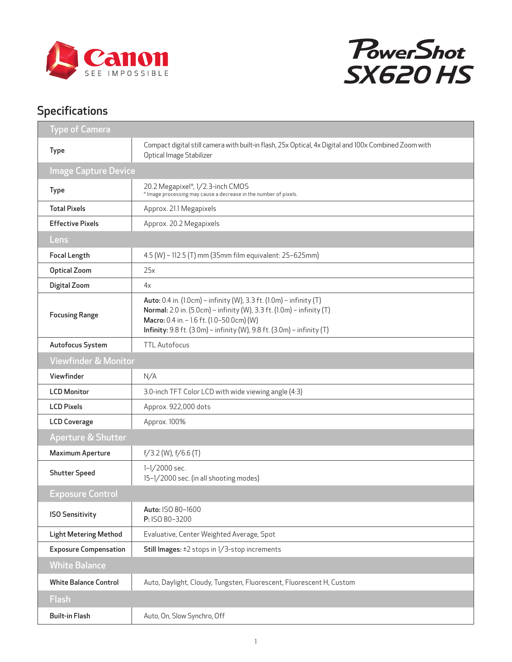



## Specifications

| <b>Type of Camera</b>           |                                                                                                                                                                                                                                                                     |
|---------------------------------|---------------------------------------------------------------------------------------------------------------------------------------------------------------------------------------------------------------------------------------------------------------------|
| <b>Type</b>                     | Compact digital still camera with built-in flash, 25x Optical, 4x Digital and 100x Combined Zoom with<br>Optical Image Stabilizer                                                                                                                                   |
| <b>Image Capture Device</b>     |                                                                                                                                                                                                                                                                     |
| <b>Type</b>                     | 20.2 Megapixel*, 1/2.3-inch CMOS<br>* Image processing may cause a decrease in the number of pixels.                                                                                                                                                                |
| <b>Total Pixels</b>             | Approx. 21.1 Megapixels                                                                                                                                                                                                                                             |
| <b>Effective Pixels</b>         | Approx. 20.2 Megapixels                                                                                                                                                                                                                                             |
| Lens                            |                                                                                                                                                                                                                                                                     |
| <b>Focal Length</b>             | 4.5 (W) - 112.5 (T) mm (35mm film equivalent: 25-625mm)                                                                                                                                                                                                             |
| <b>Optical Zoom</b>             | 25x                                                                                                                                                                                                                                                                 |
| Digital Zoom                    | 4x                                                                                                                                                                                                                                                                  |
| <b>Focusing Range</b>           | Auto: 0.4 in. (1.0cm) - infinity (W), 3.3 ft. (1.0m) - infinity (T)<br>Normal: 2.0 in. (5.0cm) - infinity (W), 3.3 ft. (1.0m) - infinity (T)<br>Macro: 0.4 in. - 1.6 ft. (1.0-50.0cm) (W)<br>Infinity: 9.8 ft. (3.0m) - infinity (W), 9.8 ft. (3.0m) - infinity (T) |
| Autofocus System                | <b>TTL Autofocus</b>                                                                                                                                                                                                                                                |
| <b>Viewfinder &amp; Monitor</b> |                                                                                                                                                                                                                                                                     |
| Viewfinder                      | N/A                                                                                                                                                                                                                                                                 |
| <b>LCD Monitor</b>              | 3.0-inch TFT Color LCD with wide viewing angle (4:3)                                                                                                                                                                                                                |
| <b>LCD Pixels</b>               | Approx. 922,000 dots                                                                                                                                                                                                                                                |
| <b>LCD Coverage</b>             | Approx. 100%                                                                                                                                                                                                                                                        |
| <b>Aperture &amp; Shutter</b>   |                                                                                                                                                                                                                                                                     |
| <b>Maximum Aperture</b>         | $f/3.2$ (W), $f/6.6$ (T)                                                                                                                                                                                                                                            |
| <b>Shutter Speed</b>            | 1-1/2000 sec.<br>15-1/2000 sec. (in all shooting modes)                                                                                                                                                                                                             |
| <b>Exposure Control</b>         |                                                                                                                                                                                                                                                                     |
| <b>ISO Sensitivity</b>          | Auto: ISO 80-1600<br>P: ISO 80-3200                                                                                                                                                                                                                                 |
| <b>Light Metering Method</b>    | Evaluative, Center Weighted Average, Spot                                                                                                                                                                                                                           |
| <b>Exposure Compensation</b>    | Still Images: ±2 stops in 1/3-stop increments                                                                                                                                                                                                                       |
| <b>White Balance</b>            |                                                                                                                                                                                                                                                                     |
| <b>White Balance Control</b>    | Auto, Daylight, Cloudy, Tungsten, Fluorescent, Fluorescent H, Custom                                                                                                                                                                                                |
| <b>Flash</b>                    |                                                                                                                                                                                                                                                                     |
| <b>Built-in Flash</b>           | Auto, On, Slow Synchro, Off                                                                                                                                                                                                                                         |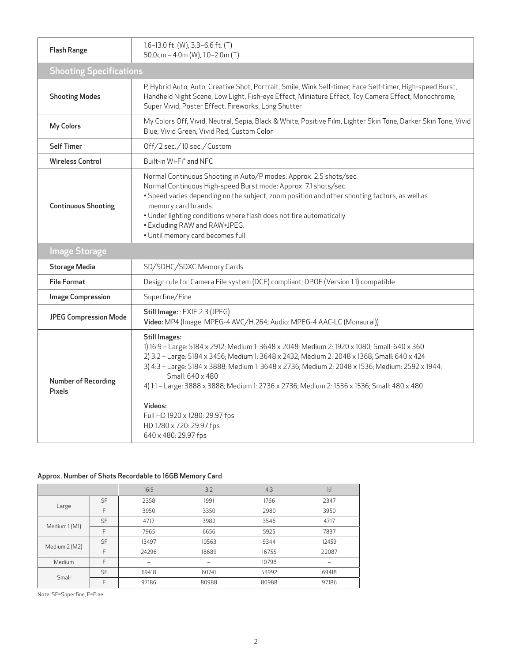| <b>Flash Range</b>                   | $1.6-13.0$ ft. (W), 3.3-6.6 ft. (T)<br>50.0cm - 4.0m (W), $1.0 - 2.0$ m (T)                                                                                                                                                                                                                                                                                                                                                                                                                                                                |  |  |
|--------------------------------------|--------------------------------------------------------------------------------------------------------------------------------------------------------------------------------------------------------------------------------------------------------------------------------------------------------------------------------------------------------------------------------------------------------------------------------------------------------------------------------------------------------------------------------------------|--|--|
| <b>Shooting Specifications</b>       |                                                                                                                                                                                                                                                                                                                                                                                                                                                                                                                                            |  |  |
| <b>Shooting Modes</b>                | P, Hybrid Auto, Auto, Creative Shot, Portrait, Smile, Wink Self-timer, Face Self-timer, High-speed Burst,<br>Handheld Night Scene, Low Light, Fish-eye Effect, Miniature Effect, Toy Camera Effect, Monochrome,<br>Super Vivid, Poster Effect, Fireworks, Long Shutter                                                                                                                                                                                                                                                                     |  |  |
| My Colors                            | My Colors Off, Vivid, Neutral, Sepia, Black & White, Positive Film, Lighter Skin Tone, Darker Skin Tone, Vivid<br>Blue, Vivid Green, Vivid Red, Custom Color                                                                                                                                                                                                                                                                                                                                                                               |  |  |
| <b>Self Timer</b>                    | Off/2 sec./10 sec./Custom                                                                                                                                                                                                                                                                                                                                                                                                                                                                                                                  |  |  |
| <b>Wireless Control</b>              | Built-in Wi-Fi® and NFC                                                                                                                                                                                                                                                                                                                                                                                                                                                                                                                    |  |  |
| <b>Continuous Shooting</b>           | Normal Continuous Shooting in Auto/P modes: Approx. 2.5 shots/sec.<br>Normal Continuous High-speed Burst mode: Approx. 7.1 shots/sec.<br>. Speed varies depending on the subject, zoom position and other shooting factors, as well as<br>memory card brands.<br>. Under lighting conditions where flash does not fire automatically.<br>• Excluding RAW and RAW+JPEG.<br>· Until memory card becomes full.                                                                                                                                |  |  |
| <b>Image Storage</b>                 |                                                                                                                                                                                                                                                                                                                                                                                                                                                                                                                                            |  |  |
| <b>Storage Media</b>                 | SD/SDHC/SDXC Memory Cards                                                                                                                                                                                                                                                                                                                                                                                                                                                                                                                  |  |  |
| <b>File Format</b>                   | Design rule for Camera File system (DCF) compliant; DPOF (Version 1.1) compatible                                                                                                                                                                                                                                                                                                                                                                                                                                                          |  |  |
| <b>Image Compression</b>             | Superfine/Fine                                                                                                                                                                                                                                                                                                                                                                                                                                                                                                                             |  |  |
| <b>JPEG Compression Mode</b>         | Still Image:: EXIF 2.3 (JPEG)<br>Video: MP4 (Image: MPEG-4 AVC/H.264; Audio: MPEG-4 AAC-LC (Monaural))                                                                                                                                                                                                                                                                                                                                                                                                                                     |  |  |
| Number of Recording<br><b>Pixels</b> | <b>Still Images:</b><br>1) 16:9 - Large: 5184 x 2912; Medium 1: 3648 x 2048; Medium 2: 1920 x 1080; Small: 640 x 360<br>2) 3:2 - Large: 5184 x 3456; Medium 1: 3648 x 2432; Medium 2: 2048 x 1368; Small: 640 x 424<br>3) 4:3 - Large: 5184 x 3888; Medium 1: 3648 x 2736; Medium 2: 2048 x 1536; Medium: 2592 x 1944;<br>Small: 640 x 480<br>4) 1:1 - Large: 3888 x 3888; Medium 1: 2736 x 2736; Medium 2: 1536 x 1536; Small: 480 x 480<br>Videos:<br>Full HD 1920 x 1280: 29.97 fps<br>HD 1280 x 720: 29.97 fps<br>640 x 480: 29.97 fps |  |  |

## Approx. Number of Shots Recordable to 16GB Memory Card

|               |           | 16:9  | 3:2   | 4:3   | 1:1   |
|---------------|-----------|-------|-------|-------|-------|
| Large         | <b>SF</b> | 2358  | 1991  | 1766  | 2347  |
|               | F         | 3950  | 3350  | 2980  | 3950  |
| Medium 1 (M1) | SF        | 4717  | 3982  | 3546  | 4717  |
|               | F         | 7965  | 6656  | 5925  | 7837  |
| Medium 2 (M2) | <b>SF</b> | 13497 | 10563 | 9344  | 12459 |
|               | F         | 24296 | 18689 | 16755 | 22087 |
| Medium        | F         |       |       | 10798 |       |
| Small         | SF        | 69418 | 60741 | 53992 | 69418 |
|               | F         | 97186 | 80988 | 80988 | 97186 |

Note: SF=Superfine, F=Fine